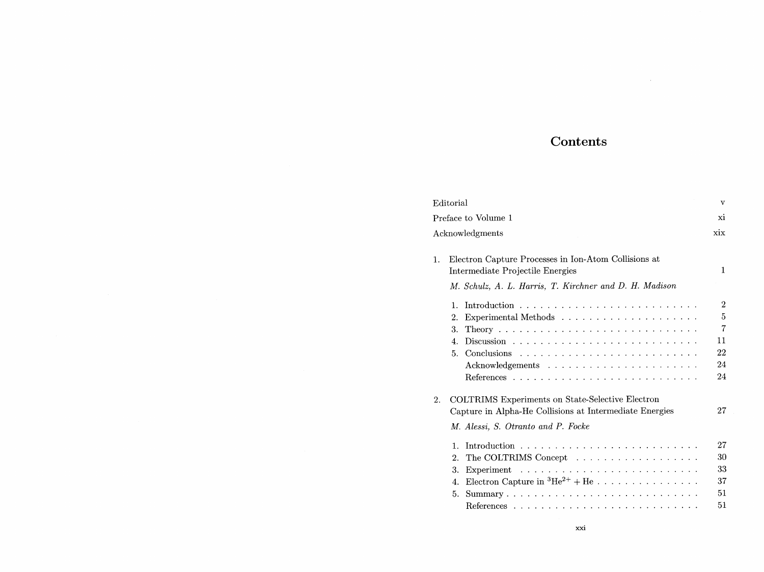## Contents

 $\sim$ 

| Editorial                                                                                                                                                                                                                 | v                                                |
|---------------------------------------------------------------------------------------------------------------------------------------------------------------------------------------------------------------------------|--------------------------------------------------|
| Preface to Volume 1                                                                                                                                                                                                       |                                                  |
| Acknowledgments                                                                                                                                                                                                           |                                                  |
| Electron Capture Processes in Ion-Atom Collisions at<br>1.<br>Intermediate Projectile Energies<br>M. Schulz, A. L. Harris, T. Kirchner and D. H. Madison                                                                  | $\mathbf{1}$                                     |
| $\mathbf{1}$ .<br>2.<br>3.<br>4.<br>5.                                                                                                                                                                                    | $\overline{2}$<br>5<br>7<br>11<br>22<br>24<br>24 |
| <b>COLTRIMS</b> Experiments on State-Selective Electron<br>2.<br>Capture in Alpha-He Collisions at Intermediate Energies<br>M. Alessi, S. Otranto and P. Focke                                                            | 27                                               |
| $\mathbf{1}$ .<br>The COLTRIMS Concept<br>$\overline{2}$ .<br>3.<br>Electron Capture in ${}^{3}\text{He}^{2+} + \text{He}$<br>4.<br>5.<br>$Summary \ldots \ldots \ldots \ldots \ldots \ldots \ldots \ldots \ldots \ldots$ | 27<br>30<br>33<br>37<br>51                       |
|                                                                                                                                                                                                                           | 51                                               |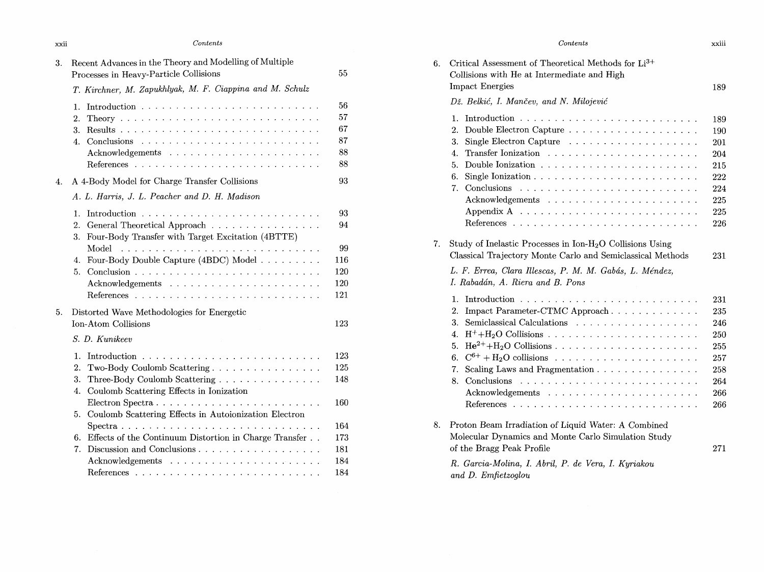| xxii | Contents                                                                                          |          |
|------|---------------------------------------------------------------------------------------------------|----------|
| 3.   | Recent Advances in the Theory and Modelling of Multiple<br>Processes in Heavy-Particle Collisions | 55       |
|      | T. Kirchner, M. Zapukhlyak, M. F. Ciappina and M. Schulz                                          |          |
|      | 1.                                                                                                | 56<br>57 |
|      | $\overline{2}$ .<br>3.                                                                            | 67       |
|      | 4.                                                                                                | 87       |
|      |                                                                                                   | 88       |
|      |                                                                                                   | 88       |
| 4.   | A 4-Body Model for Charge Transfer Collisions                                                     | 93       |
|      | A. L. Harris, J. L. Peacher and D. H. Madison                                                     |          |
|      | 1.<br>Introduction $\cdots \cdots \cdots \cdots \cdots \cdots$                                    | 93       |
|      | 2.<br>General Theoretical Approach<br>Four-Body Transfer with Target Excitation (4BTTE)<br>3.     | 94       |
|      | Model                                                                                             | 99       |
|      | Four-Body Double Capture (4BDC) Model<br>4.                                                       | 116      |
|      | 5.                                                                                                | 120      |
|      |                                                                                                   | 120      |
|      |                                                                                                   | 121      |
| 5.   | Distorted Wave Methodologies for Energetic                                                        |          |
|      | Ion-Atom Collisions                                                                               | 123      |
|      | S. D. Kunikeev                                                                                    |          |
|      | 1.<br>Introduction                                                                                | 123      |
|      | 2.<br>Two-Body Coulomb Scattering                                                                 | 125      |
|      | 3.<br>Three-Body Coulomb Scattering                                                               | 148      |
|      | Coulomb Scattering Effects in Ionization<br>4.                                                    |          |
|      |                                                                                                   | 160      |
|      | Coulomb Scattering Effects in Autoionization Electron<br>5.                                       | 164      |
|      | Effects of the Continuum Distortion in Charge Transfer<br>6.                                      | 173      |
|      | 7.                                                                                                | 181      |
|      |                                                                                                   | 184      |
|      |                                                                                                   | 184      |
|      |                                                                                                   |          |

|    | Contents                                                                                                                                                                                                                                                                                    | xxiii                                                              |  |  |  |
|----|---------------------------------------------------------------------------------------------------------------------------------------------------------------------------------------------------------------------------------------------------------------------------------------------|--------------------------------------------------------------------|--|--|--|
| 6. | Critical Assessment of Theoretical Methods for Li <sup>3+</sup><br>Collisions with He at Intermediate and High                                                                                                                                                                              |                                                                    |  |  |  |
|    | <b>Impact Energies</b>                                                                                                                                                                                                                                                                      | 189                                                                |  |  |  |
|    | Dž. Belkić, I. Mančev, and N. Milojević                                                                                                                                                                                                                                                     |                                                                    |  |  |  |
|    | 1.<br>2.<br>3.<br>4.<br>5.<br>6.<br>Conclusions<br>7.<br>$\mathcal{A}$ , which is a set of the set of the set of the set of the set of the set of the set of the set of the set of the set of the set of the set of the set of the set of the set of the set of the set of the set of the s | 189<br>190<br>201<br>204<br>215<br>222<br>224<br>225               |  |  |  |
|    | Appendix A $\dots \dots \dots \dots \dots \dots \dots \dots \dots \dots \dots$                                                                                                                                                                                                              | 225<br>226                                                         |  |  |  |
| 7. | Study of Inelastic Processes in Ion- $H2O$ Collisions Using<br>Classical Trajectory Monte Carlo and Semiclassical Methods<br>L. F. Errea, Clara Illescas, P. M. M. Gabás, L. Méndez,<br>I. Rabadán, A. Riera and B. Pons                                                                    |                                                                    |  |  |  |
|    | 1.<br>2.<br>Impact Parameter-CTMC Approach<br>3.<br>4.<br>5.<br>6.<br>Scaling Laws and Fragmentation<br>7.<br>8.<br>Conclusions                                                                                                                                                             | 231<br>235<br>246<br>250<br>255<br>257<br>258<br>264<br>266<br>266 |  |  |  |
| 8. | Proton Beam Irradiation of Liquid Water: A Combined<br>Molecular Dynamics and Monte Carlo Simulation Study<br>of the Bragg Peak Profile                                                                                                                                                     | 271                                                                |  |  |  |
|    | R. Garcia-Molina, I. Abril, P. de Vera, I. Kyriakou<br>and D. Emfietzoglou                                                                                                                                                                                                                  |                                                                    |  |  |  |